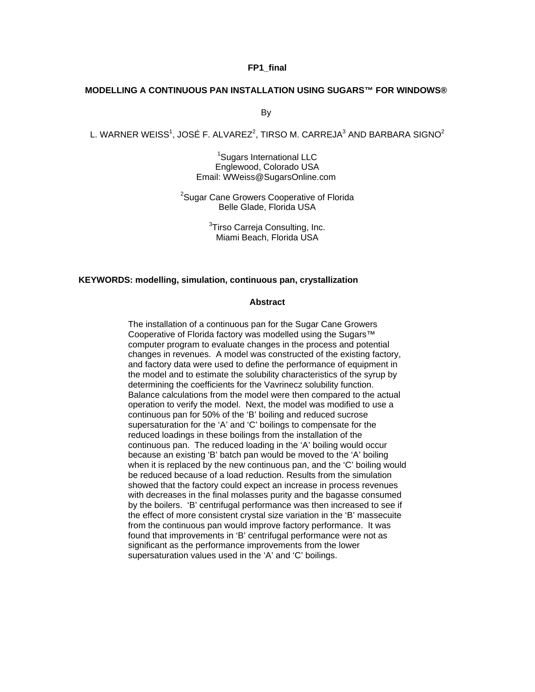### **FP1\_final**

#### **MODELLING A CONTINUOUS PAN INSTALLATION USING SUGARS™ FOR WINDOWS®**

By

L. WARNER WEISS $^1$ , JOSÉ F. ALVAREZ $^2$ , TIRSO M. CARREJA $^3$  AND BARBARA SIGNO $^2$ 

<sup>1</sup>Sugars International LLC Englewood, Colorado USA Email: WWeiss@SugarsOnline.com

<sup>2</sup>Sugar Cane Growers Cooperative of Florida Belle Glade, Florida USA

> <sup>3</sup>Tirso Carreja Consulting, Inc. Miami Beach, Florida USA

### **KEYWORDS: modelling, simulation, continuous pan, crystallization**

#### **Abstract**

The installation of a continuous pan for the Sugar Cane Growers Cooperative of Florida factory was modelled using the Sugars™ computer program to evaluate changes in the process and potential changes in revenues. A model was constructed of the existing factory, and factory data were used to define the performance of equipment in the model and to estimate the solubility characteristics of the syrup by determining the coefficients for the Vavrinecz solubility function. Balance calculations from the model were then compared to the actual operation to verify the model. Next, the model was modified to use a continuous pan for 50% of the 'B' boiling and reduced sucrose supersaturation for the 'A' and 'C' boilings to compensate for the reduced loadings in these boilings from the installation of the continuous pan. The reduced loading in the 'A' boiling would occur because an existing 'B' batch pan would be moved to the 'A' boiling when it is replaced by the new continuous pan, and the 'C' boiling would be reduced because of a load reduction. Results from the simulation showed that the factory could expect an increase in process revenues with decreases in the final molasses purity and the bagasse consumed by the boilers. 'B' centrifugal performance was then increased to see if the effect of more consistent crystal size variation in the 'B' massecuite from the continuous pan would improve factory performance. It was found that improvements in 'B' centrifugal performance were not as significant as the performance improvements from the lower supersaturation values used in the 'A' and 'C' boilings.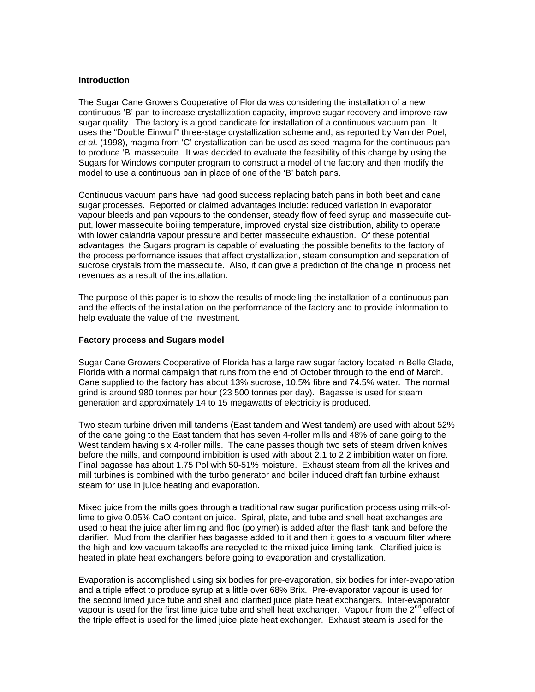## **Introduction**

The Sugar Cane Growers Cooperative of Florida was considering the installation of a new continuous 'B' pan to increase crystallization capacity, improve sugar recovery and improve raw sugar quality. The factory is a good candidate for installation of a continuous vacuum pan. It uses the "Double Einwurf" three-stage crystallization scheme and, as reported by Van der Poel, *et al*. (1998), magma from 'C' crystallization can be used as seed magma for the continuous pan to produce 'B' massecuite. It was decided to evaluate the feasibility of this change by using the Sugars for Windows computer program to construct a model of the factory and then modify the model to use a continuous pan in place of one of the 'B' batch pans.

Continuous vacuum pans have had good success replacing batch pans in both beet and cane sugar processes. Reported or claimed advantages include: reduced variation in evaporator vapour bleeds and pan vapours to the condenser, steady flow of feed syrup and massecuite output, lower massecuite boiling temperature, improved crystal size distribution, ability to operate with lower calandria vapour pressure and better massecuite exhaustion. Of these potential advantages, the Sugars program is capable of evaluating the possible benefits to the factory of the process performance issues that affect crystallization, steam consumption and separation of sucrose crystals from the massecuite. Also, it can give a prediction of the change in process net revenues as a result of the installation.

The purpose of this paper is to show the results of modelling the installation of a continuous pan and the effects of the installation on the performance of the factory and to provide information to help evaluate the value of the investment.

### **Factory process and Sugars model**

Sugar Cane Growers Cooperative of Florida has a large raw sugar factory located in Belle Glade, Florida with a normal campaign that runs from the end of October through to the end of March. Cane supplied to the factory has about 13% sucrose, 10.5% fibre and 74.5% water. The normal grind is around 980 tonnes per hour (23 500 tonnes per day). Bagasse is used for steam generation and approximately 14 to 15 megawatts of electricity is produced.

Two steam turbine driven mill tandems (East tandem and West tandem) are used with about 52% of the cane going to the East tandem that has seven 4-roller mills and 48% of cane going to the West tandem having six 4-roller mills. The cane passes though two sets of steam driven knives before the mills, and compound imbibition is used with about 2.1 to 2.2 imbibition water on fibre. Final bagasse has about 1.75 Pol with 50-51% moisture. Exhaust steam from all the knives and mill turbines is combined with the turbo generator and boiler induced draft fan turbine exhaust steam for use in juice heating and evaporation.

Mixed juice from the mills goes through a traditional raw sugar purification process using milk-oflime to give 0.05% CaO content on juice. Spiral, plate, and tube and shell heat exchanges are used to heat the juice after liming and floc (polymer) is added after the flash tank and before the clarifier. Mud from the clarifier has bagasse added to it and then it goes to a vacuum filter where the high and low vacuum takeoffs are recycled to the mixed juice liming tank. Clarified juice is heated in plate heat exchangers before going to evaporation and crystallization.

Evaporation is accomplished using six bodies for pre-evaporation, six bodies for inter-evaporation and a triple effect to produce syrup at a little over 68% Brix. Pre-evaporator vapour is used for the second limed juice tube and shell and clarified juice plate heat exchangers. Inter-evaporator vapour is used for the first lime juice tube and shell heat exchanger. Vapour from the  $2^{nd}$  effect of the triple effect is used for the limed juice plate heat exchanger. Exhaust steam is used for the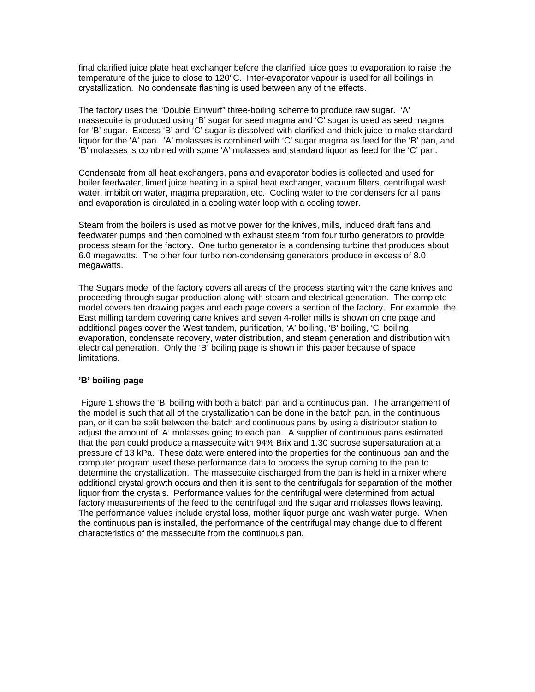final clarified juice plate heat exchanger before the clarified juice goes to evaporation to raise the temperature of the juice to close to 120°C. Inter-evaporator vapour is used for all boilings in crystallization. No condensate flashing is used between any of the effects.

The factory uses the "Double Einwurf" three-boiling scheme to produce raw sugar. 'A' massecuite is produced using 'B' sugar for seed magma and 'C' sugar is used as seed magma for 'B' sugar. Excess 'B' and 'C' sugar is dissolved with clarified and thick juice to make standard liquor for the 'A' pan. 'A' molasses is combined with 'C' sugar magma as feed for the 'B' pan, and 'B' molasses is combined with some 'A' molasses and standard liquor as feed for the 'C' pan.

Condensate from all heat exchangers, pans and evaporator bodies is collected and used for boiler feedwater, limed juice heating in a spiral heat exchanger, vacuum filters, centrifugal wash water, imbibition water, magma preparation, etc. Cooling water to the condensers for all pans and evaporation is circulated in a cooling water loop with a cooling tower.

Steam from the boilers is used as motive power for the knives, mills, induced draft fans and feedwater pumps and then combined with exhaust steam from four turbo generators to provide process steam for the factory. One turbo generator is a condensing turbine that produces about 6.0 megawatts. The other four turbo non-condensing generators produce in excess of 8.0 megawatts.

The Sugars model of the factory covers all areas of the process starting with the cane knives and proceeding through sugar production along with steam and electrical generation. The complete model covers ten drawing pages and each page covers a section of the factory. For example, the East milling tandem covering cane knives and seven 4-roller mills is shown on one page and additional pages cover the West tandem, purification, 'A' boiling, 'B' boiling, 'C' boiling, evaporation, condensate recovery, water distribution, and steam generation and distribution with electrical generation. Only the 'B' boiling page is shown in this paper because of space limitations.

## **'B' boiling page**

 Figure 1 shows the 'B' boiling with both a batch pan and a continuous pan. The arrangement of the model is such that all of the crystallization can be done in the batch pan, in the continuous pan, or it can be split between the batch and continuous pans by using a distributor station to adjust the amount of 'A' molasses going to each pan. A supplier of continuous pans estimated that the pan could produce a massecuite with 94% Brix and 1.30 sucrose supersaturation at a pressure of 13 kPa. These data were entered into the properties for the continuous pan and the computer program used these performance data to process the syrup coming to the pan to determine the crystallization. The massecuite discharged from the pan is held in a mixer where additional crystal growth occurs and then it is sent to the centrifugals for separation of the mother liquor from the crystals. Performance values for the centrifugal were determined from actual factory measurements of the feed to the centrifugal and the sugar and molasses flows leaving. The performance values include crystal loss, mother liquor purge and wash water purge. When the continuous pan is installed, the performance of the centrifugal may change due to different characteristics of the massecuite from the continuous pan.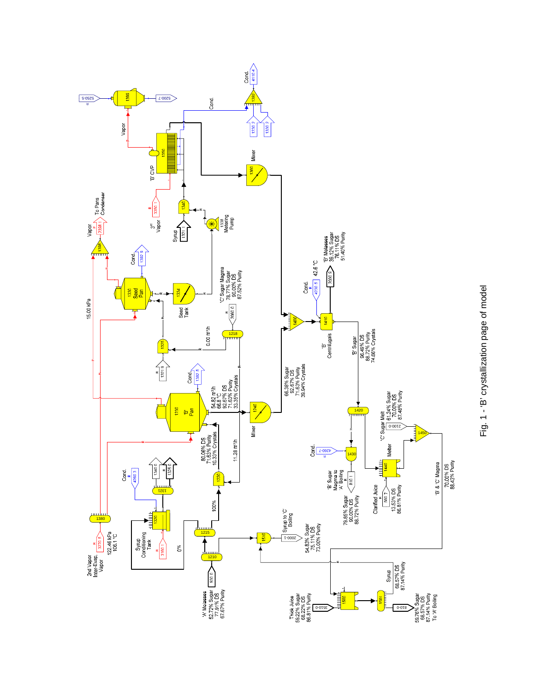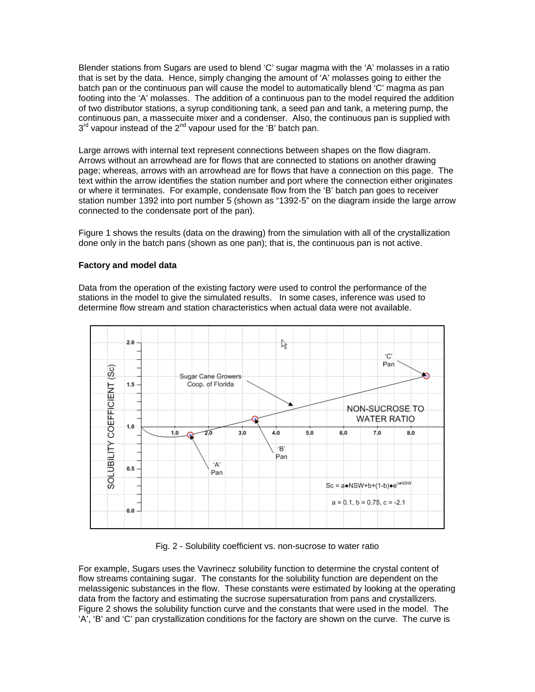Blender stations from Sugars are used to blend 'C' sugar magma with the 'A' molasses in a ratio that is set by the data. Hence, simply changing the amount of 'A' molasses going to either the batch pan or the continuous pan will cause the model to automatically blend 'C' magma as pan footing into the 'A' molasses. The addition of a continuous pan to the model required the addition of two distributor stations, a syrup conditioning tank, a seed pan and tank, a metering pump, the continuous pan, a massecuite mixer and a condenser. Also, the continuous pan is supplied with  $3<sup>rd</sup>$  vapour instead of the  $2<sup>nd</sup>$  vapour used for the 'B' batch pan.

Large arrows with internal text represent connections between shapes on the flow diagram. Arrows without an arrowhead are for flows that are connected to stations on another drawing page; whereas, arrows with an arrowhead are for flows that have a connection on this page. The text within the arrow identifies the station number and port where the connection either originates or where it terminates. For example, condensate flow from the 'B' batch pan goes to receiver station number 1392 into port number 5 (shown as "1392-5" on the diagram inside the large arrow connected to the condensate port of the pan).

Figure 1 shows the results (data on the drawing) from the simulation with all of the crystallization done only in the batch pans (shown as one pan); that is, the continuous pan is not active.

## **Factory and model data**

Data from the operation of the existing factory were used to control the performance of the stations in the model to give the simulated results. In some cases, inference was used to determine flow stream and station characteristics when actual data were not available.



Fig. 2 - Solubility coefficient vs. non-sucrose to water ratio

For example, Sugars uses the Vavrinecz solubility function to determine the crystal content of flow streams containing sugar. The constants for the solubility function are dependent on the melassigenic substances in the flow. These constants were estimated by looking at the operating data from the factory and estimating the sucrose supersaturation from pans and crystallizers. Figure 2 shows the solubility function curve and the constants that were used in the model. The 'A', 'B' and 'C' pan crystallization conditions for the factory are shown on the curve. The curve is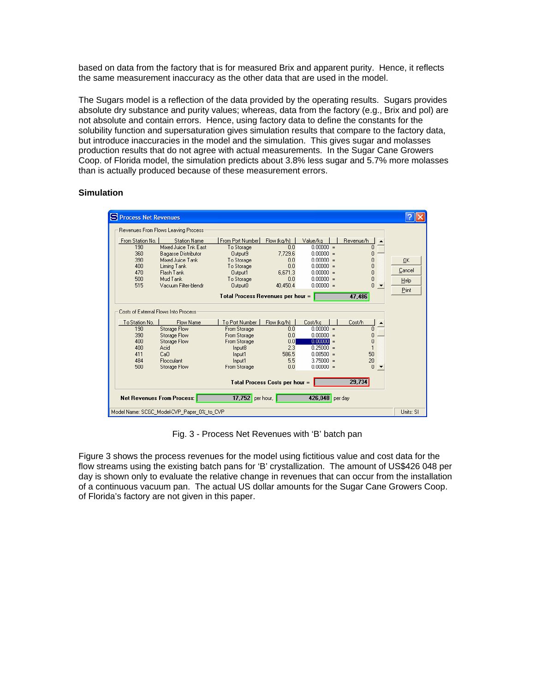based on data from the factory that is for measured Brix and apparent purity. Hence, it reflects the same measurement inaccuracy as the other data that are used in the model.

The Sugars model is a reflection of the data provided by the operating results. Sugars provides absolute dry substance and purity values; whereas, data from the factory (e.g., Brix and pol) are not absolute and contain errors. Hence, using factory data to define the constants for the solubility function and supersaturation gives simulation results that compare to the factory data, but introduce inaccuracies in the model and the simulation. This gives sugar and molasses production results that do not agree with actual measurements. In the Sugar Cane Growers Coop. of Florida model, the simulation predicts about 3.8% less sugar and 5.7% more molasses than is actually produced because of these measurement errors.

# **Simulation**

| Process Net Revenues                                                                                                   |                                                                                                                                        |                                                                                                              |                                                                 |                                                                                                                                                  |                                                 |                             |  |  |  |  |  |
|------------------------------------------------------------------------------------------------------------------------|----------------------------------------------------------------------------------------------------------------------------------------|--------------------------------------------------------------------------------------------------------------|-----------------------------------------------------------------|--------------------------------------------------------------------------------------------------------------------------------------------------|-------------------------------------------------|-----------------------------|--|--|--|--|--|
| Revenues From Flows Leaving Process                                                                                    |                                                                                                                                        |                                                                                                              |                                                                 |                                                                                                                                                  |                                                 |                             |  |  |  |  |  |
| From Station No.<br>190<br>360<br>390<br>400<br>470<br>500                                                             | <b>Station Name</b><br>Mixed Juice Tak Fast<br><b>Bagasse Distributor</b><br>Mixed Juice Tank<br>Liming Tank<br>Flash Tank<br>Mud Tank | From Port Number<br>To Storage<br>Output9<br>To Storage<br>To Storage<br>Output1<br>To Storage               | Flow (kg/h)  <br>n n<br>7.729.6<br>0.0<br>0.0<br>6.671.3<br>0.0 | Value/kg<br>$0.00000 =$<br>$0.00000 =$<br>$0.00000 =$<br>$\Omega$ $\Omega$ $\Omega$ $\Omega$ =<br>$0.00000 =$<br>$0.00000 =$                     | Revenue/h<br>۵<br>Ω<br>n<br>٥<br>$\overline{0}$ | <b>OK</b><br>Cancel<br>Help |  |  |  |  |  |
| 515                                                                                                                    | n<br>Vacuum Filter-blendr<br>$0.00000 =$<br>Output0<br>40,450.4<br>47,486<br>Total Process Revenues per hour =                         |                                                                                                              |                                                                 |                                                                                                                                                  |                                                 |                             |  |  |  |  |  |
| Costs of External Flows Into Process<br>To Station No.<br>190<br>390<br>400<br>400<br>411<br>484<br>500                | Flow Name<br>Storage Flow<br>Storage Flow<br>Storage Flow<br>Acid<br>CaO<br><b>Elocculant</b><br>Storage Flow                          | To Port Number<br>From Storage<br>From Storage<br>From Storage<br>Input8<br>Input1<br>Input1<br>From Storage | Flow (kg/h)<br>0.0<br>0.0<br>0.01<br>2.3<br>586.5<br>5.5<br>0.0 | Cost/ka<br>$0.00000 =$<br>$\bigcap \bigcap \bigcap \bigcap \bigcap =$<br>$0.00000 =$<br>$0.25000 =$<br>$0.08500 =$<br>$3.75000 =$<br>$0.00000 =$ | Cost/h<br>n<br>n<br>n<br>50<br>20<br>$\Omega$   |                             |  |  |  |  |  |
| 29,734<br>Total Process Costs per hour =<br>426,048 per day<br>$17,752$ per hour,<br><b>Net Revenues From Process:</b> |                                                                                                                                        |                                                                                                              |                                                                 |                                                                                                                                                  |                                                 |                             |  |  |  |  |  |
| Model Name: SCGC_Model-CVP_Paper_0%_to_CVP<br>Units: SI                                                                |                                                                                                                                        |                                                                                                              |                                                                 |                                                                                                                                                  |                                                 |                             |  |  |  |  |  |

Fig. 3 - Process Net Revenues with 'B' batch pan

Figure 3 shows the process revenues for the model using fictitious value and cost data for the flow streams using the existing batch pans for 'B' crystallization. The amount of US\$426 048 per day is shown only to evaluate the relative change in revenues that can occur from the installation of a continuous vacuum pan. The actual US dollar amounts for the Sugar Cane Growers Coop. of Florida's factory are not given in this paper.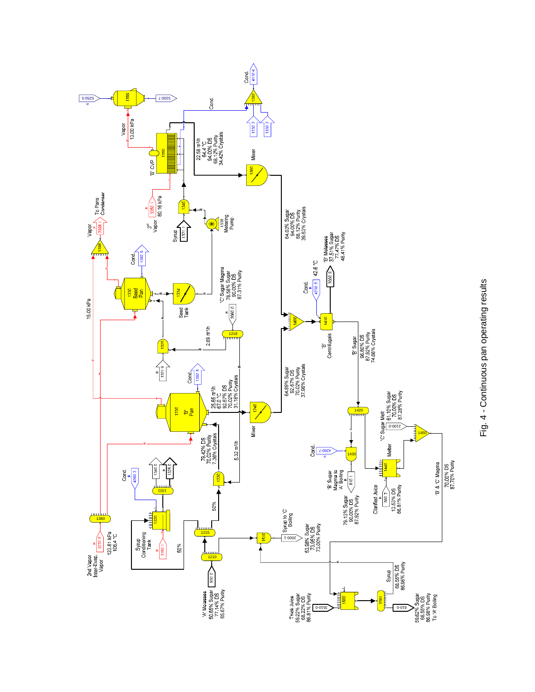

Fig. 4 - Continuous pan operating results Fig. 4 - Continuous pan operating results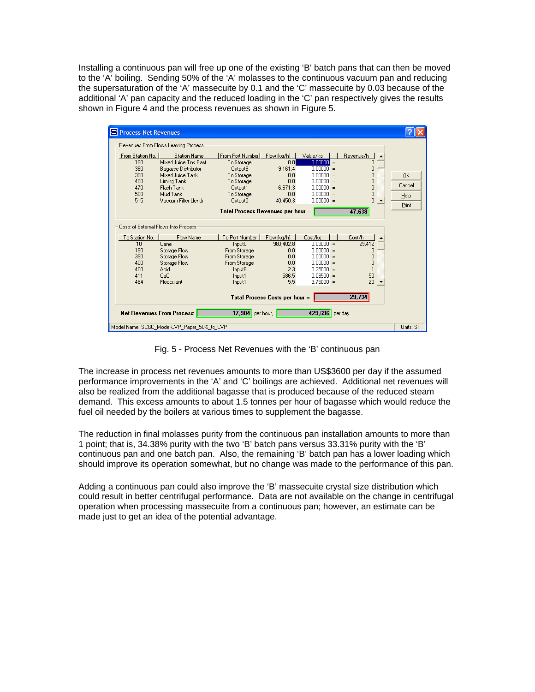Installing a continuous pan will free up one of the existing 'B' batch pans that can then be moved to the 'A' boiling. Sending 50% of the 'A' molasses to the continuous vacuum pan and reducing the supersaturation of the 'A' massecuite by 0.1 and the 'C' massecuite by 0.03 because of the additional 'A' pan capacity and the reduced loading in the 'C' pan respectively gives the results shown in Figure 4 and the process revenues as shown in Figure 5.

| Process Net Revenues                                                     | Revenues From Flows Leaving Process         |                                |                    |                                             |                |        |  |  |  |  |
|--------------------------------------------------------------------------|---------------------------------------------|--------------------------------|--------------------|---------------------------------------------|----------------|--------|--|--|--|--|
| From Station No.<br>190                                                  | <b>Station Name</b><br>Mixed Juice Tnk East | From Port Number<br>To Storage | Flow (kg/h)<br>0.0 | Value/kg<br>$0.00000 =$                     | Revenue/h<br>n |        |  |  |  |  |
| 360                                                                      | <b>Bagasse Distributor</b>                  | Output9                        | 9.161.4            | $0.00000 =$                                 | Ω              |        |  |  |  |  |
| 390                                                                      | Mixed Juice Tank                            | To Storage                     | 0.0                | $\bigcap \bigcap \bigcap \bigcap = \bigcap$ | n              | 0K     |  |  |  |  |
| 400                                                                      | Liming Tank                                 | To Storage                     | 0.0                | $0.00000 =$                                 | 0              |        |  |  |  |  |
| 470                                                                      | Flash Tank                                  | Output1                        | 6.671.3            | $0.00000 =$                                 | 0              | Cancel |  |  |  |  |
| 500                                                                      | Mud Tank                                    | To Storage                     | 0.0                | $0.00000 =$                                 | 0              | Help   |  |  |  |  |
| 515                                                                      | Vacuum Filter-blendr                        | Output0                        | 40.450.3           | $0.00000 =$                                 | n              | Print  |  |  |  |  |
| 47,638<br>Total Process Revenues per hour =                              |                                             |                                |                    |                                             |                |        |  |  |  |  |
| Costs of External Flows Into Process<br>To Station No.                   | Flow Name                                   | To Port Number                 | Flow (kg/h)        | Cost/kg                                     | Cost/h         |        |  |  |  |  |
| 10                                                                       | Cane                                        | Input <sub>0</sub>             | 980.402.8          | $0.03000 =$                                 | 29,412         |        |  |  |  |  |
| 190                                                                      | Storage Flow                                | From Storage                   | 0.0                | $0.00000 =$                                 | 0              |        |  |  |  |  |
| 390                                                                      | Storage Flow                                | From Storage                   | 0.0                | $0.00000 =$                                 | Ō              |        |  |  |  |  |
| 400                                                                      | Storage Flow                                | From Storage                   | 0.0                | $0.00000 =$                                 | Ō              |        |  |  |  |  |
| 400                                                                      | Acid                                        | Input8                         | 2.3                | $0.25000 =$                                 |                |        |  |  |  |  |
| 411                                                                      | CaO                                         | Input1                         | 586.5              | $0.08500 =$                                 | 50             |        |  |  |  |  |
| 484                                                                      | Flocculant                                  | Input1                         | 5.5                | $3.75000 =$                                 | 20             |        |  |  |  |  |
| 29,734<br>Total Process Costs per hour =                                 |                                             |                                |                    |                                             |                |        |  |  |  |  |
| 429,696 per day<br>17,904 per hour,<br><b>Net Revenues From Process:</b> |                                             |                                |                    |                                             |                |        |  |  |  |  |
| Model Name: SCGC_Model-CVP_Paper_50%_to_CVP                              |                                             |                                |                    |                                             |                |        |  |  |  |  |

Fig. 5 - Process Net Revenues with the 'B' continuous pan

The increase in process net revenues amounts to more than US\$3600 per day if the assumed performance improvements in the 'A' and 'C' boilings are achieved. Additional net revenues will also be realized from the additional bagasse that is produced because of the reduced steam demand. This excess amounts to about 1.5 tonnes per hour of bagasse which would reduce the fuel oil needed by the boilers at various times to supplement the bagasse.

The reduction in final molasses purity from the continuous pan installation amounts to more than 1 point; that is, 34.38% purity with the two 'B' batch pans versus 33.31% purity with the 'B' continuous pan and one batch pan. Also, the remaining 'B' batch pan has a lower loading which should improve its operation somewhat, but no change was made to the performance of this pan.

Adding a continuous pan could also improve the 'B' massecuite crystal size distribution which could result in better centrifugal performance. Data are not available on the change in centrifugal operation when processing massecuite from a continuous pan; however, an estimate can be made just to get an idea of the potential advantage.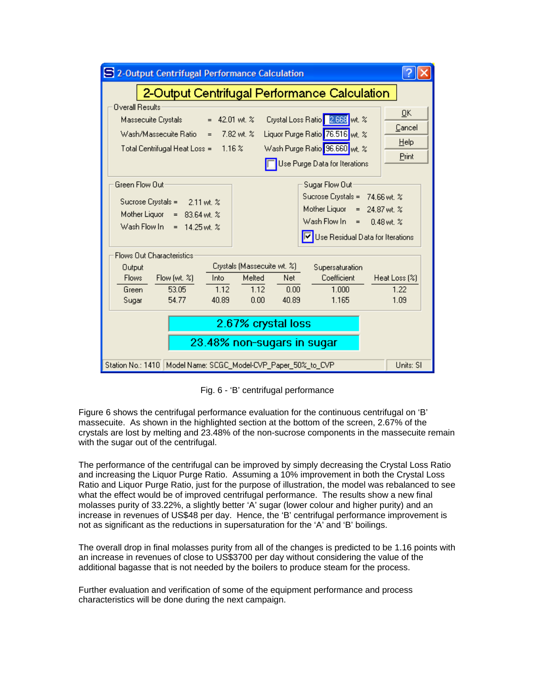

Fig. 6 - 'B' centrifugal performance

Figure 6 shows the centrifugal performance evaluation for the continuous centrifugal on 'B' massecuite. As shown in the highlighted section at the bottom of the screen, 2.67% of the crystals are lost by melting and 23.48% of the non-sucrose components in the massecuite remain with the sugar out of the centrifugal.

The performance of the centrifugal can be improved by simply decreasing the Crystal Loss Ratio and increasing the Liquor Purge Ratio. Assuming a 10% improvement in both the Crystal Loss Ratio and Liquor Purge Ratio, just for the purpose of illustration, the model was rebalanced to see what the effect would be of improved centrifugal performance. The results show a new final molasses purity of 33.22%, a slightly better 'A' sugar (lower colour and higher purity) and an increase in revenues of US\$48 per day. Hence, the 'B' centrifugal performance improvement is not as significant as the reductions in supersaturation for the 'A' and 'B' boilings.

The overall drop in final molasses purity from all of the changes is predicted to be 1.16 points with an increase in revenues of close to US\$3700 per day without considering the value of the additional bagasse that is not needed by the boilers to produce steam for the process.

Further evaluation and verification of some of the equipment performance and process characteristics will be done during the next campaign.